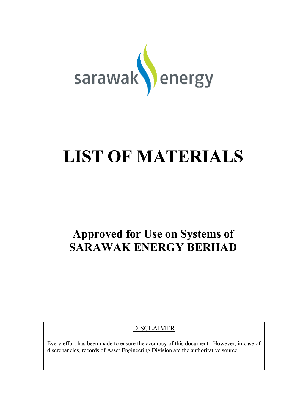

# **LIST OF MATERIALS**

## **Approved for Use on Systems of SARAWAK ENERGY BERHAD**

DISCLAIMER

Every effort has been made to ensure the accuracy of this document. However, in case of discrepancies, records of Asset Engineering Division are the authoritative source.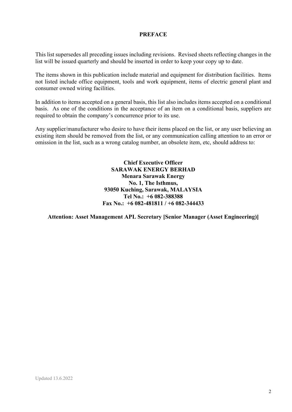#### **PREFACE**

This list supersedes all preceding issues including revisions. Revised sheets reflecting changes in the list will be issued quarterly and should be inserted in order to keep your copy up to date.

The items shown in this publication include material and equipment for distribution facilities. Items not listed include office equipment, tools and work equipment, items of electric general plant and consumer owned wiring facilities.

In addition to items accepted on a general basis, this list also includes items accepted on a conditional basis. As one of the conditions in the acceptance of an item on a conditional basis, suppliers are required to obtain the company's concurrence prior to its use.

Any supplier/manufacturer who desire to have their items placed on the list, or any user believing an existing item should be removed from the list, or any communication calling attention to an error or omission in the list, such as a wrong catalog number, an obsolete item, etc, should address to:

> **Chief Executive Officer SARAWAK ENERGY BERHAD Menara Sarawak Energy No. 1, The Isthmus, 93050 Kuching, Sarawak, MALAYSIA Tel No.: +6 082-388388 Fax No.: +6 082-481811 / +6 082-344433**

**Attention: Asset Management APL Secretary [Senior Manager (Asset Engineering)]**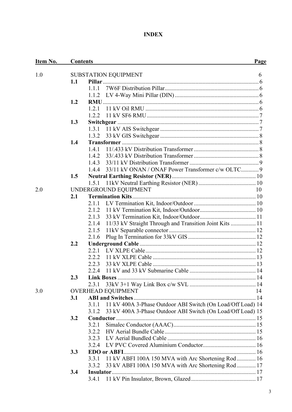### **INDEX**

| <u>Item No.</u> | <b>Contents</b> |                   |                                                             | <b>Page</b> |
|-----------------|-----------------|-------------------|-------------------------------------------------------------|-------------|
| 1.0             |                 |                   |                                                             | 6           |
|                 | 1.1             |                   | <b>SUBSTATION EQUIPMENT</b>                                 |             |
|                 |                 | 1.1.1             |                                                             |             |
|                 |                 | 1.1.2             |                                                             |             |
|                 | 1.2             |                   |                                                             |             |
|                 |                 | 1.2.1             |                                                             |             |
|                 |                 | 1.2.2             |                                                             |             |
|                 | 1.3             |                   |                                                             |             |
|                 |                 | 1.3.1             |                                                             |             |
|                 |                 | 1.3.2             |                                                             |             |
|                 | 1.4             |                   |                                                             |             |
|                 |                 | 1.4.1             |                                                             |             |
|                 |                 | 1.4.2             |                                                             |             |
|                 |                 | 1.4.3             |                                                             |             |
|                 |                 | 1.4.4             | 33/11 kV ONAN / ONAF Power Transformer c/w OLTC 9           |             |
|                 | 1.5             |                   |                                                             |             |
|                 |                 |                   |                                                             |             |
| 2.0             |                 | 1.5.1             |                                                             |             |
|                 | 2.1             |                   | UNDERGROUND EQUIPMENT                                       | 10          |
|                 |                 |                   |                                                             |             |
|                 |                 | 2.1.1             |                                                             |             |
|                 |                 | 2.1.2             |                                                             |             |
|                 |                 | 2.1.3             |                                                             |             |
|                 |                 | 2.1.4             | 11/33 kV Straight Through and Transition Joint Kits  11     |             |
|                 |                 | 2.1.5             |                                                             |             |
|                 |                 | 2.1.6             |                                                             |             |
|                 | 2.2             |                   |                                                             |             |
|                 |                 | 2.2.1             |                                                             |             |
|                 |                 | 2.2.2             |                                                             |             |
|                 |                 | 2.2.3             |                                                             |             |
|                 |                 | 2.2.4             |                                                             |             |
|                 | $2.3^{\circ}$   | <b>Link Boxes</b> |                                                             |             |
|                 |                 |                   |                                                             |             |
| 3.0             |                 |                   | <b>OVERHEAD EQUIPMENT</b>                                   | 14          |
|                 | 3.1             |                   |                                                             |             |
|                 |                 | 3.1.1             | 11 kV 400A 3-Phase Outdoor ABI Switch (On Load/Off Load) 14 |             |
|                 |                 | 3.1.2             | 33 kV 400A 3-Phase Outdoor ABI Switch (On Load/Off Load) 15 |             |
|                 | 3.2             |                   |                                                             |             |
|                 |                 | 3.2.1             |                                                             |             |
|                 |                 | 3.2.2             |                                                             |             |
|                 |                 | 3.2.3             |                                                             |             |
|                 |                 | 3.2.4             |                                                             |             |
|                 | 3.3             |                   |                                                             |             |
|                 |                 | 3.3.1             | 11 kV ABFI 100A 150 MVA with Arc Shortening Rod 16          |             |
|                 |                 | 3.3.2             | 33 kV ABFI 100A 150 MVA with Arc Shortening Rod 17          |             |
|                 | 3.4             |                   |                                                             |             |
|                 |                 | 3.4.1             |                                                             |             |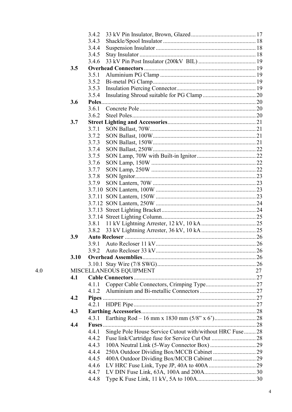|      | 3.4.2 |                                                          |    |
|------|-------|----------------------------------------------------------|----|
|      | 3.4.3 |                                                          |    |
|      | 3.4.4 |                                                          |    |
|      | 3.4.5 |                                                          |    |
|      | 3.4.6 |                                                          |    |
| 3.5  |       |                                                          |    |
|      | 3.5.1 |                                                          |    |
|      | 3.5.2 |                                                          |    |
|      | 3.5.3 |                                                          |    |
|      | 3.5.4 |                                                          |    |
| 3.6  |       |                                                          |    |
|      | 3.6.1 |                                                          |    |
|      | 3.6.2 |                                                          |    |
| 3.7  |       |                                                          |    |
|      | 3.7.1 |                                                          |    |
|      | 3.7.2 |                                                          |    |
|      | 3.7.3 |                                                          |    |
|      | 3.7.4 |                                                          |    |
|      | 3.7.5 |                                                          |    |
|      | 3.7.6 |                                                          |    |
|      | 3.7.7 |                                                          |    |
|      | 3.7.8 |                                                          |    |
|      | 3.7.9 |                                                          |    |
|      |       |                                                          |    |
|      |       |                                                          |    |
|      |       |                                                          |    |
|      |       |                                                          |    |
|      |       |                                                          |    |
|      | 3.8.1 |                                                          |    |
|      | 3.8.2 |                                                          |    |
| 3.9  |       |                                                          |    |
|      | 3.9.1 |                                                          |    |
|      |       |                                                          |    |
| 3.10 |       |                                                          |    |
|      |       |                                                          |    |
|      |       | MISCELLANEOUS EQUIPMENT                                  | 27 |
| 4.1  |       |                                                          |    |
|      | 4.1.1 |                                                          |    |
|      | 4.1.2 |                                                          |    |
| 4.2  |       |                                                          |    |
|      | 4.2.1 |                                                          |    |
| 4.3  |       |                                                          |    |
|      | 4.3.1 |                                                          |    |
| 4.4  | Fuses |                                                          |    |
|      | 4.4.1 |                                                          |    |
|      |       | Single Pole House Service Cutout with/without HRC Fuse28 |    |
|      | 4.4.2 |                                                          |    |
|      | 4.4.3 |                                                          |    |
|      | 4.4.4 |                                                          |    |
|      | 4.4.5 |                                                          |    |
|      | 4.4.6 |                                                          |    |
|      | 4.4.7 |                                                          |    |
|      | 4.4.8 |                                                          |    |

 $4.0$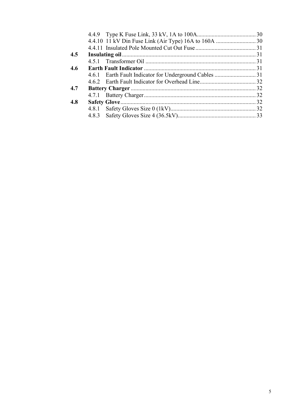| 4.5 |  |
|-----|--|
|     |  |
| 4.6 |  |
|     |  |
|     |  |
| 4.7 |  |
|     |  |
| 4.8 |  |
|     |  |
|     |  |
|     |  |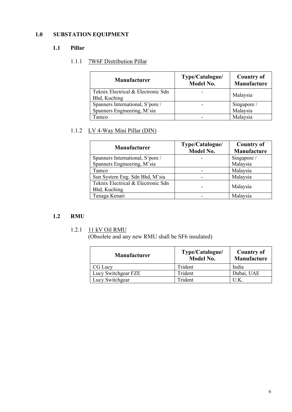### <span id="page-5-1"></span><span id="page-5-0"></span>**1.0 SUBSTATION EQUIPMENT**

### <span id="page-5-2"></span>**1.1 Pillar**

### 1.1.1 7W6F Distribution Pillar

| <b>Manufacturer</b>                                             | Type/Catalogue/<br><b>Model No.</b> | <b>Country of</b><br>Manufacture |
|-----------------------------------------------------------------|-------------------------------------|----------------------------------|
| Teknix Electrical & Electronic Sdn<br>Bhd, Kuching              |                                     | Malaysia                         |
| Spanners International, S'pore /<br>Spanners Engineering, M'sia |                                     | Singapore /<br>Malaysia          |
| <b>Tamco</b>                                                    |                                     | Malaysia                         |

### <span id="page-5-3"></span>1.1.2 LV 4-Way Mini Pillar (DIN)

| <b>Manufacturer</b>                                | Type/Catalogue/ | <b>Country of</b> |
|----------------------------------------------------|-----------------|-------------------|
|                                                    | Model No.       | Manufacture       |
| Spanners International, S'pore /                   |                 | Singapore /       |
| Spanners Engineering, M'sia                        |                 | Malaysia          |
| Tamco                                              |                 | Malaysia          |
| Sun System Eng. Sdn Bhd, M'sia                     |                 | Malaysia          |
| Teknix Electrical & Electronic Sdn<br>Bhd, Kuching |                 | Malaysia          |
| Tenaga Kenari                                      |                 | Malaysia          |

### <span id="page-5-5"></span><span id="page-5-4"></span>**1.2 RMU**

### 1.2.1 11 kV Oil RMU

(Obsolete and any new RMU shall be SF6 insulated)

| <b>Manufacturer</b> | Type/Catalogue/<br><b>Model No.</b> | Country of<br>Manufacture |
|---------------------|-------------------------------------|---------------------------|
| CG Lucy             | Trident                             | India                     |
| Lucy Switchgear FZE | Trident                             | Dubai, UAE                |
| Lucy Switchgear     | Trident                             | UK                        |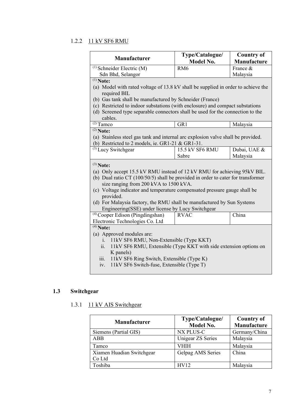### <span id="page-6-0"></span>1.2.2 11 kV SF6 RMU

| Manufacturer                                                                                                                                                                                                            | Type/Catalogue/<br><b>Model No.</b>                                               | <b>Country of</b><br><b>Manufacture</b> |  |  |  |  |  |
|-------------------------------------------------------------------------------------------------------------------------------------------------------------------------------------------------------------------------|-----------------------------------------------------------------------------------|-----------------------------------------|--|--|--|--|--|
| $(1)$ Schneider Electric (M)                                                                                                                                                                                            | RM <sub>6</sub>                                                                   | France &                                |  |  |  |  |  |
| Sdn Bhd, Selangor                                                                                                                                                                                                       |                                                                                   | Malaysia                                |  |  |  |  |  |
| $(1)$ Note:                                                                                                                                                                                                             |                                                                                   |                                         |  |  |  |  |  |
| required BIL                                                                                                                                                                                                            | (a) Model with rated voltage of 13.8 kV shall be supplied in order to achieve the |                                         |  |  |  |  |  |
| (b) Gas tank shall be manufactured by Schneider (France)                                                                                                                                                                |                                                                                   |                                         |  |  |  |  |  |
| (c) Restricted to indoor substations (with enclosure) and compact substations<br>(d) Screened type separable connectors shall be used for the connection to the<br>cables.                                              |                                                                                   |                                         |  |  |  |  |  |
| $\sqrt(2)}$ Tamco                                                                                                                                                                                                       | GR1                                                                               | Malaysia                                |  |  |  |  |  |
| $(2)$ Note:                                                                                                                                                                                                             |                                                                                   |                                         |  |  |  |  |  |
| (a) Stainless steel gas tank and internal arc explosion valve shall be provided.                                                                                                                                        |                                                                                   |                                         |  |  |  |  |  |
| (b) Restricted to 2 models, ie. GR1-21 & GR1-31.                                                                                                                                                                        |                                                                                   |                                         |  |  |  |  |  |
| <sup>(3)</sup> Lucy Switchgear                                                                                                                                                                                          | 15.5 kV SF6 RMU                                                                   | Dubai, UAE &                            |  |  |  |  |  |
|                                                                                                                                                                                                                         | Sabre                                                                             | Malaysia                                |  |  |  |  |  |
| $(3)$ Note:<br>(a) Only accept 15.5 kV RMU instead of 12 kV RMU for achieving 95kV BIL.<br>(b) Dual ratio CT $(100/50/5)$ shall be provided in order to cater for transformer<br>size ranging from 200 kVA to 1500 kVA. |                                                                                   |                                         |  |  |  |  |  |
| (c) Voltage indicator and temperature compensated pressure gauge shall be<br>provided.                                                                                                                                  |                                                                                   |                                         |  |  |  |  |  |
| (d) For Malaysia factory, the RMU shall be manufactured by Sun Systems                                                                                                                                                  |                                                                                   |                                         |  |  |  |  |  |
| Engineering(SSE) under license by Lucy Switchgear                                                                                                                                                                       |                                                                                   |                                         |  |  |  |  |  |
| $^{(4)}$ Cooper Edison (Pingdingshan)                                                                                                                                                                                   | <b>RVAC</b>                                                                       | China                                   |  |  |  |  |  |
| Electronic Technologies Co. Ltd                                                                                                                                                                                         |                                                                                   |                                         |  |  |  |  |  |
| $(4)$ Note:                                                                                                                                                                                                             |                                                                                   |                                         |  |  |  |  |  |
| (a) Approved modules are:                                                                                                                                                                                               |                                                                                   |                                         |  |  |  |  |  |
| 11kV SF6 RMU, Non-Extensible (Type KKT)<br>$\mathbf{i}$ .                                                                                                                                                               |                                                                                   |                                         |  |  |  |  |  |
| ii.<br>11kV SF6 RMU, Extensible (Type KKT with side extension options on                                                                                                                                                |                                                                                   |                                         |  |  |  |  |  |
| K panels)                                                                                                                                                                                                               |                                                                                   |                                         |  |  |  |  |  |
| iii.<br>11kV SF6 Ring Switch, Extensible (Type K)                                                                                                                                                                       |                                                                                   |                                         |  |  |  |  |  |
| 11kV SF6 Switch-fuse, Extensible (Type T)<br>iv.                                                                                                                                                                        |                                                                                   |                                         |  |  |  |  |  |

### <span id="page-6-2"></span><span id="page-6-1"></span> **1.3 Switchgear**

### 1.3.1 11 kV AIS Switchgear

| <b>Manufacturer</b>       | Type/Catalogue/<br>Model No. | <b>Country of</b><br>Manufacture |
|---------------------------|------------------------------|----------------------------------|
| Siemens (Partial GIS)     | NX PLUS-C                    | Germany/China                    |
| <b>ABB</b>                | Unigear ZS Series            | Malaysia                         |
| Tamco                     | VHIH                         | Malaysia                         |
| Xiamen Huadian Switchgear | Gelpag AMS Series            | China                            |
| Co Ltd                    |                              |                                  |
| Toshiba                   | HV 12                        | Malaysia                         |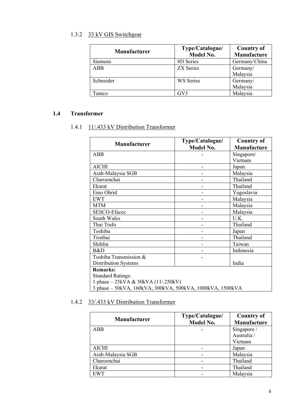### <span id="page-7-0"></span>1.3.2 33 kV GIS Switchgear

| <b>Manufacturer</b> | Type/Catalogue/<br><b>Model No.</b> | <b>Country of</b><br>Manufacture |
|---------------------|-------------------------------------|----------------------------------|
| Siemens             | 8D Series                           | Germany/China                    |
| ABB                 | <b>ZX</b> Series                    | Germany/<br>Malaysia             |
| Schneider           | WS Series                           | Germany/<br>Malaysia             |
| Tamco               | GV3                                 | Malaysia                         |

### <span id="page-7-2"></span><span id="page-7-1"></span>**1.4 Transformer**

### 1.4.1 11/.433 kV Distribution Transformer

| <b>Manufacturer</b>                                       | Type/Catalogue/  | <b>Country of</b>  |  |  |
|-----------------------------------------------------------|------------------|--------------------|--|--|
|                                                           | <b>Model No.</b> | <b>Manufacture</b> |  |  |
| ABB                                                       |                  | Singapore/         |  |  |
|                                                           |                  | Vietnam            |  |  |
| <b>AICHI</b>                                              |                  | Japan              |  |  |
| Arab-Malaysia SGB                                         |                  | Malaysia           |  |  |
| Charoenchai                                               |                  | Thailand           |  |  |
| Ekarat                                                    |                  | Thailand           |  |  |
| Emo Ohrid                                                 |                  | Yugoslavia         |  |  |
| <b>EWT</b>                                                |                  | Malaysia           |  |  |
| <b>MTM</b>                                                |                  | Malaysia           |  |  |
| SESCO-Efacec                                              |                  | Malaysia           |  |  |
| South Wales                                               |                  | U.K.               |  |  |
| Thai Trafo                                                |                  | Thailand           |  |  |
| Toshiba                                                   |                  | Japan              |  |  |
| Tirathai                                                  |                  | Thailand           |  |  |
| Shihlin                                                   |                  | Taiwan             |  |  |
| B&D                                                       |                  | Indonesia          |  |  |
| Toshiba Transmission &                                    |                  |                    |  |  |
| Distribution Systems                                      |                  | India              |  |  |
| <b>Remarks:</b>                                           |                  |                    |  |  |
| <b>Standard Ratings:</b>                                  |                  |                    |  |  |
| 1 phase $-25kVA & 50kVA (11/.250kV)$                      |                  |                    |  |  |
| 3 phase - 50kVA, 160kVA, 300kVA, 500kVA, 1000kVA, 1500kVA |                  |                    |  |  |

### <span id="page-7-3"></span>1.4.2 33/.433 kV Distribution Transformer

| <b>Manufacturer</b> | Type/Catalogue/<br>Model No. | <b>Country of</b><br>Manufacture |
|---------------------|------------------------------|----------------------------------|
| ABB                 |                              | Singapore /                      |
|                     |                              | Australia /                      |
|                     |                              | Vietnam                          |
| AICHI               |                              | Japan                            |
| Arab-Malaysia SGB   |                              | Malaysia                         |
| Charoenchai         |                              | Thailand                         |
| Ekarat              |                              | Thailand                         |
| <b>EWT</b>          |                              | Malaysia                         |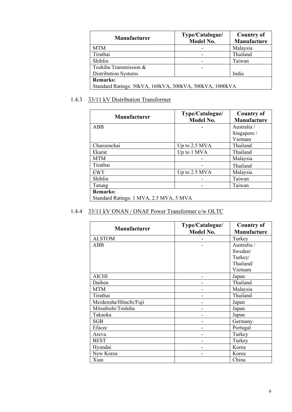| <b>Manufacturer</b>                                      | Type/Catalogue/<br><b>Model No.</b> | <b>Country of</b><br>Manufacture |  |  |
|----------------------------------------------------------|-------------------------------------|----------------------------------|--|--|
| <b>MTM</b>                                               |                                     | Malaysia                         |  |  |
| Tirathai                                                 |                                     | Thailand                         |  |  |
| Shihlin                                                  |                                     | Taiwan                           |  |  |
| Toshiba Transmission &                                   |                                     |                                  |  |  |
| Distribution Systems                                     |                                     | India                            |  |  |
| <b>Remarks:</b>                                          |                                     |                                  |  |  |
| Standard Ratings: 50kVA, 160kVA, 300kVA, 500kVA, 1000kVA |                                     |                                  |  |  |

### <span id="page-8-0"></span>1.4.3 33/11 kV Distribution Transformer

| <b>Manufacturer</b>                     | Type/Catalogue/<br><b>Model No.</b> | <b>Country of</b><br><b>Manufacture</b> |
|-----------------------------------------|-------------------------------------|-----------------------------------------|
| ABB                                     |                                     | Australia /                             |
|                                         |                                     | Singapore /                             |
|                                         |                                     | Vietnam                                 |
| Charoenchai                             | Up to 2.5 MVA                       | Thailand                                |
| Ekarat                                  | Up to 1 MVA                         | Thailand                                |
| <b>MTM</b>                              |                                     | Malaysia                                |
| Tirathai                                |                                     | Thailand                                |
| <b>EWT</b>                              | Up to 2.5 MVA                       | Malaysia                                |
| Shihlin                                 |                                     | Taiwan                                  |
| Tatung                                  |                                     | Taiwan                                  |
| <b>Remarks:</b>                         |                                     |                                         |
| Standard Ratings: 1 MVA, 2.5 MVA, 5 MVA |                                     |                                         |

### <span id="page-8-1"></span>1.4.4 33/11 kV ONAN / ONAF Power Transformer c/w OLTC

| <b>Manufacturer</b>    | Type/Catalogue/ | <b>Country of</b> |
|------------------------|-----------------|-------------------|
|                        | Model No.       | Manufacture       |
| <b>ALSTOM</b>          |                 | Turkey            |
| <b>ABB</b>             |                 | Australia /       |
|                        |                 | Sweden/           |
|                        |                 | Turkey/           |
|                        |                 | Thailand/         |
|                        |                 | Vietnam           |
| <b>AICHI</b>           |                 | Japan             |
| Daihen                 |                 | Thailand          |
| <b>MTM</b>             |                 | Malaysia          |
| Tirathai               |                 | Thailand          |
| Meidensha/Hitachi/Fuji |                 | Japan             |
| Mitsubishi/Toshiba     |                 | Japan             |
| Takaoka                |                 | Japan             |
| SGB                    |                 | Germany           |
| Efacec                 |                 | Portugal          |
| Areva                  |                 | Turkey            |
| <b>BEST</b>            |                 | Turkey            |
| Hyundai                |                 | Korea             |
| New Korea              |                 | Korea             |
| Xian                   |                 | China             |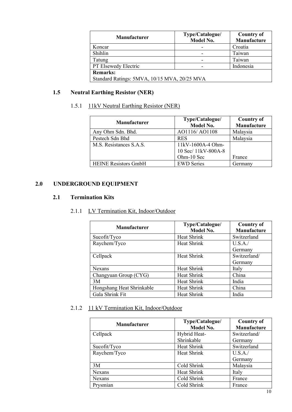| <b>Manufacturer</b>                          | Type/Catalogue/<br>Model No. | <b>Country of</b><br>Manufacture |  |
|----------------------------------------------|------------------------------|----------------------------------|--|
| Koncar                                       |                              | Croatia                          |  |
| Shihlin                                      |                              | Taiwan                           |  |
| Tatung                                       |                              | Taiwan                           |  |
| PT Elsewedy Electric                         |                              | Indonesia                        |  |
| <b>Remarks:</b>                              |                              |                                  |  |
| Standard Ratings: 5MVA, 10/15 MVA, 20/25 MVA |                              |                                  |  |

### <span id="page-9-1"></span><span id="page-9-0"></span>**1.5 Neutral Earthing Resistor (NER)**

### 1.5.1 11kV Neutral Earthing Resistor (NER)

| <b>Manufacturer</b>         | Type/Catalogue/<br>Model No. | <b>Country of</b><br>Manufacture |
|-----------------------------|------------------------------|----------------------------------|
| Any Ohm Sdn. Bhd.           | AO1116/AO1108                | Malaysia                         |
| Pestech Sdn Bhd             | <b>RES</b>                   | Malaysia                         |
| M.S. Resistances S.A.S.     | 11kV-1600A-4 Ohm-            |                                  |
|                             | 10 Sec/ 11kV-800A-8          |                                  |
|                             | Ohm-10 Sec                   | France                           |
| <b>HEINE Resistors GmbH</b> | <b>EWD Series</b>            | Germanv                          |

### <span id="page-9-3"></span><span id="page-9-2"></span>**2.0 UNDERGROUND EQUIPMENT**

#### <span id="page-9-4"></span>**2.1 Termination Kits**

### 2.1.1 LV Termination Kit, Indoor/Outdoor

| <b>Manufacturer</b>       | Type/Catalogue/<br>Model No. | <b>Country of</b><br>Manufacture |
|---------------------------|------------------------------|----------------------------------|
| Sucofit/Tyco              | Heat Shrink                  | Switzerland                      |
| Raychem/Tyco              | Heat Shrink                  | U.S.A.                           |
|                           |                              | Germany                          |
| Cellpack                  | Heat Shrink                  | Switzerland/                     |
|                           |                              | Germany                          |
| Nexans                    | Heat Shrink                  | Italy                            |
| Changyuan Group (CYG)     | Heat Shrink                  | China                            |
| 3M                        | Heat Shrink                  | India                            |
| Hongshang Heat Shrinkable | Heat Shrink                  | China                            |
| Gala Shrink Fit           | Heat Shrink                  | India                            |

### <span id="page-9-5"></span>2.1.2 11 kV Termination Kit, Indoor/Outdoor

| <b>Manufacturer</b> | Type/Catalogue/<br>Model No. | <b>Country of</b><br>Manufacture |
|---------------------|------------------------------|----------------------------------|
| Cellpack            | Hybrid Heat-                 | Switzerland/                     |
|                     | Shrinkable                   | Germany                          |
| Sucofit/Tyco        | Heat Shrink                  | Switzerland                      |
| Raychem/Tyco        | Heat Shrink                  | U.S.A.                           |
|                     |                              | Germany                          |
| 3M                  | Cold Shrink                  | Malaysia                         |
| Nexans              | Heat Shrink                  | Italy                            |
| <b>Nexans</b>       | Cold Shrink                  | France                           |
| Prysmian            | Cold Shrink                  | France                           |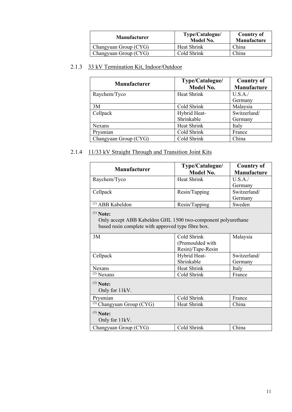| <b>Manufacturer</b>   | Type/Catalogue/<br>Model No. | <b>Country of</b><br>Manufacture |
|-----------------------|------------------------------|----------------------------------|
| Changyuan Group (CYG) | Heat Shrink                  | China                            |
| Changyuan Group (CYG) | Cold Shrink                  | China                            |

### <span id="page-10-0"></span>2.1.3 33 kV Termination Kit, Indoor/Outdoor

| <b>Manufacturer</b>   | Type/Catalogue/<br><b>Model No.</b> | <b>Country of</b><br>Manufacture |
|-----------------------|-------------------------------------|----------------------------------|
| Raychem/Tyco          | Heat Shrink                         | U.S.A.                           |
|                       |                                     | Germany                          |
| 3M                    | Cold Shrink                         | Malaysia                         |
| Cellpack              | Hybrid Heat-                        | Switzerland/                     |
|                       | Shrinkable                          | Germany                          |
| <b>Nexans</b>         | Heat Shrink                         | Italy                            |
| Prysmian              | Cold Shrink                         | France                           |
| Changyuan Group (CYG) | Cold Shrink                         | China                            |

### <span id="page-10-1"></span>2.1.4 11/33 kV Straight Through and Transition Joint Kits

| <b>Manufacturer</b>                                                                                                               | Type/Catalogue/    | <b>Country of</b> |
|-----------------------------------------------------------------------------------------------------------------------------------|--------------------|-------------------|
|                                                                                                                                   | <b>Model No.</b>   | Manufacture       |
| Raychem/Tyco                                                                                                                      | <b>Heat Shrink</b> | U.S.A./           |
|                                                                                                                                   |                    | Germany           |
| Cellpack                                                                                                                          | Resin/Tapping      | Switzerland/      |
|                                                                                                                                   |                    | Germany           |
| <sup>(1)</sup> ABB Kabeldon                                                                                                       | Resin/Tapping      | Sweden            |
| $(1)$ Note:<br>Only accept ABB Kabeldon GHL 1500 two-component polyurethane<br>based resin complete with approved type fibre box. |                    |                   |
| 3M                                                                                                                                | Cold Shrink        | Malaysia          |
|                                                                                                                                   | (Premoulded with   |                   |
|                                                                                                                                   | Resin)/Tape-Resin  |                   |
| Cellpack                                                                                                                          | Hybrid Heat-       | Switzerland/      |
|                                                                                                                                   | Shrinkable         | Germany           |
| <b>Nexans</b>                                                                                                                     | <b>Heat Shrink</b> | Italy             |
| $(2)$ Nexans                                                                                                                      | Cold Shrink        | France            |
| $(2)$ Note:<br>Only for 11kV.                                                                                                     |                    |                   |
| Prysmian                                                                                                                          | Cold Shrink        | France            |
| (3) Changyuan Group (CYG)                                                                                                         | <b>Heat Shrink</b> | China             |
| $(3)$ Note:<br>Only for 11kV.                                                                                                     |                    |                   |
| Changyuan Group (CYG)                                                                                                             | Cold Shrink        | China             |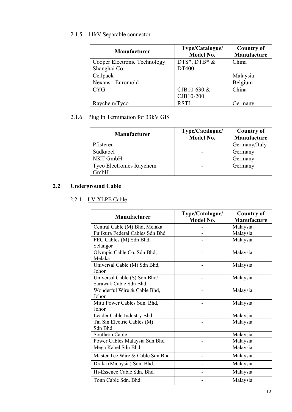### <span id="page-11-0"></span>2.1.5 11kV Separable connector

| <b>Manufacturer</b>          | Type/Catalogue/<br>Model No. | <b>Country of</b><br>Manufacture |
|------------------------------|------------------------------|----------------------------------|
| Cooper Electronic Technology | $DTS^*$ , $DTB^*$ &          | China                            |
| Shanghai Co.                 | DT400                        |                                  |
| Cellpack                     |                              | Malaysia                         |
| Nexans - Euromold            |                              | Belgium                          |
| <b>CYG</b>                   | CJB10-630 &                  | China                            |
|                              | CJB10-200                    |                                  |
| Raychem/Tyco                 | <b>RSTI</b>                  | Germany                          |

### <span id="page-11-1"></span>2.1.6 Plug In Termination for 33kV GIS

| <b>Manufacturer</b>      | Type/Catalogue/<br><b>Model No.</b> | <b>Country of</b><br>Manufacture |
|--------------------------|-------------------------------------|----------------------------------|
| Pfisterer                |                                     | Germany/Italy                    |
| Sudkabel                 |                                     | Germany                          |
| NKT GmbH                 |                                     | Germany                          |
| Tyco Electronics Raychem |                                     | Germany                          |
| GmbH                     |                                     |                                  |

### <span id="page-11-3"></span><span id="page-11-2"></span>**2.2 Underground Cable**

### 2.2.1 LV XLPE Cable

| <b>Manufacturer</b>             | Type/Catalogue/  | <b>Country of</b> |
|---------------------------------|------------------|-------------------|
|                                 | <b>Model No.</b> | Manufacture       |
| Central Cable (M) Bhd, Melaka.  |                  | Malaysia          |
| Fujikura Federal Cables Sdn Bhd |                  | Malaysia          |
| FEC Cables (M) Sdn Bhd,         |                  | Malaysia          |
| Selangor                        |                  |                   |
| Olympic Cable Co. Sdn Bhd,      |                  | Malaysia          |
| Melaka                          |                  |                   |
| Universal Cable (M) Sdn Bhd,    |                  | Malaysia          |
| Johor                           |                  |                   |
| Universal Cable (S) Sdn Bhd/    |                  | Malaysia          |
| Sarawak Cable Sdn Bhd           |                  |                   |
| Wonderful Wire & Cable Bhd,     |                  | Malaysia          |
| Johor                           |                  |                   |
| Mitti Power Cables Sdn. Bhd,    |                  | Malaysia          |
| Johor                           |                  |                   |
| Leader Cable Industry Bhd       |                  | Malaysia          |
| Tai Sin Electric Cables (M)     |                  | Malaysia          |
| Sdn Bhd                         |                  |                   |
| Southern Cable                  |                  | Malaysia          |
| Power Cables Malaysia Sdn Bhd   |                  | Malaysia          |
| Mega Kabel Sdn Bhd              |                  | Malaysia          |
| Master Tec Wire & Cable Sdn Bhd |                  | Malaysia          |
| Draka (Malaysia) Sdn. Bhd.      |                  | Malaysia          |
| Hi-Essence Cable Sdn. Bhd.      |                  | Malaysia          |
| Tonn Cable Sdn. Bhd.            |                  | Malaysia          |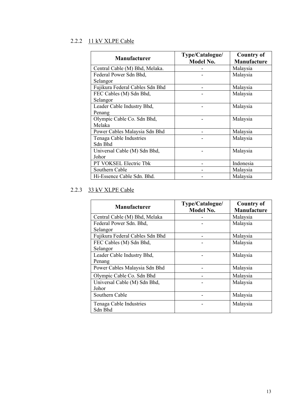### <span id="page-12-0"></span>2.2.2 11 kV XLPE Cable

| <b>Manufacturer</b>             | Type/Catalogue/<br><b>Model No.</b> | <b>Country of</b><br>Manufacture |
|---------------------------------|-------------------------------------|----------------------------------|
| Central Cable (M) Bhd, Melaka.  |                                     | Malaysia                         |
| Federal Power Sdn Bhd,          |                                     | Malaysia                         |
| Selangor                        |                                     |                                  |
| Fujikura Federal Cables Sdn Bhd |                                     | Malaysia                         |
| FEC Cables (M) Sdn Bhd,         |                                     | Malaysia                         |
| Selangor                        |                                     |                                  |
| Leader Cable Industry Bhd,      |                                     | Malaysia                         |
| Penang                          |                                     |                                  |
| Olympic Cable Co. Sdn Bhd,      |                                     | Malaysia                         |
| Melaka                          |                                     |                                  |
| Power Cables Malaysia Sdn Bhd   |                                     | Malaysia                         |
| Tenaga Cable Industries         |                                     | Malaysia                         |
| Sdn Bhd                         |                                     |                                  |
| Universal Cable (M) Sdn Bhd,    |                                     | Malaysia                         |
| Johor                           |                                     |                                  |
| PT VOKSEL Electric Tbk          |                                     | Indonesia                        |
| Southern Cable                  |                                     | Malaysia                         |
| Hi-Essence Cable Sdn. Bhd.      |                                     | Malaysia                         |

### <span id="page-12-1"></span>2.2.3 33 kV XLPE Cable

| <b>Manufacturer</b>             | Type/Catalogue/<br>Model No. | <b>Country of</b><br>Manufacture |
|---------------------------------|------------------------------|----------------------------------|
| Central Cable (M) Bhd, Melaka   |                              | Malaysia                         |
| Federal Power Sdn. Bhd,         |                              | Malaysia                         |
| Selangor                        |                              |                                  |
| Fujikura Federal Cables Sdn Bhd |                              | Malaysia                         |
| FEC Cables (M) Sdn Bhd,         |                              | Malaysia                         |
| Selangor                        |                              |                                  |
| Leader Cable Industry Bhd,      |                              | Malaysia                         |
| Penang                          |                              |                                  |
| Power Cables Malaysia Sdn Bhd   |                              | Malaysia                         |
| Olympic Cable Co. Sdn Bhd       |                              | Malaysia                         |
| Universal Cable (M) Sdn Bhd,    |                              | Malaysia                         |
| Johor                           |                              |                                  |
| Southern Cable                  |                              | Malaysia                         |
| Tenaga Cable Industries         |                              | Malaysia                         |
| Sdn Bhd                         |                              |                                  |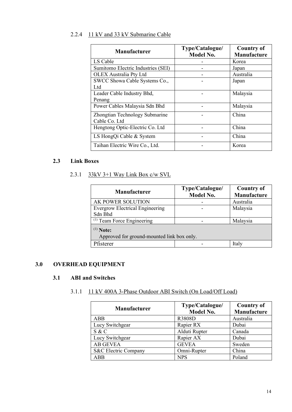### <span id="page-13-0"></span>2.2.4 11 kV and 33 kV Submarine Cable

| <b>Manufacturer</b>                | Type/Catalogue/<br><b>Model No.</b> | <b>Country of</b><br>Manufacture |
|------------------------------------|-------------------------------------|----------------------------------|
| LS Cable                           |                                     | Korea                            |
| Sumitomo Electric Industries (SEI) |                                     | Japan                            |
| <b>OLEX Australia Pty Ltd</b>      |                                     | Australia                        |
| SWCC Showa Cable Systems Co.,      |                                     | Japan                            |
| Ltd                                |                                     |                                  |
| Leader Cable Industry Bhd,         |                                     | Malaysia                         |
| Penang                             |                                     |                                  |
| Power Cables Malaysia Sdn Bhd      |                                     | Malaysia                         |
| Zhongtian Technology Submarine     |                                     | China                            |
| Cable Co. Ltd                      |                                     |                                  |
| Hengtong Optic-Electric Co. Ltd    |                                     | China                            |
| LS HongQi Cable & System           |                                     | China                            |
| Taihan Electric Wire Co., Ltd.     |                                     | Korea                            |

### <span id="page-13-2"></span><span id="page-13-1"></span>**2.3 Link Boxes**

### 2.3.1 33kV 3+1 Way Link Box c/w SVL

| <b>Manufacturer</b>                                       | Type/Catalogue/<br>Model No. | <b>Country of</b><br>Manufacture |
|-----------------------------------------------------------|------------------------------|----------------------------------|
| AK POWER SOLUTION                                         |                              | Australia                        |
| <b>Evergrow Electrical Engineering</b>                    |                              | Malaysia                         |
| Sdn Bhd                                                   |                              |                                  |
| $(1)$ Team Force Engineering                              |                              | Malaysia                         |
| $(1)$ Note:<br>Approved for ground-mounted link box only. |                              |                                  |
| Pfisterer                                                 |                              | Italy                            |

### <span id="page-13-4"></span><span id="page-13-3"></span>**3.0 OVERHEAD EQUIPMENT**

### <span id="page-13-5"></span>**3.1 ABI and Switches**

### 3.1.1 11 kV 400A 3-Phase Outdoor ABI Switch (On Load/Off Load)

| <b>Manufacturer</b>  | Type/Catalogue/<br><b>Model No.</b> | <b>Country of</b><br>Manufacture |
|----------------------|-------------------------------------|----------------------------------|
| <b>ABB</b>           | <b>R3808D</b>                       | Australia                        |
| Lucy Switchgear      | Rapier RX                           | Dubai                            |
| S & C                | Alduti Rupter                       | Canada                           |
| Lucy Switchgear      | Rapier AX                           | Dubai                            |
| <b>AB GEVEA</b>      | <b>GEVEA</b>                        | Sweden                           |
| S&C Electric Company | Omni-Rupter                         | China                            |
| <b>ABB</b>           | <b>NPS</b>                          | Poland                           |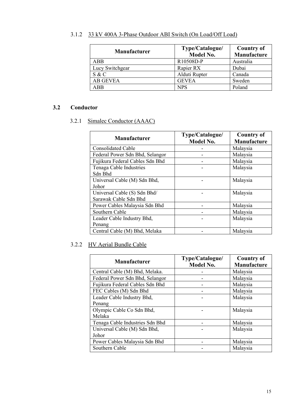| <b>Manufacturer</b> | Type/Catalogue/<br><b>Model No.</b> | <b>Country of</b><br>Manufacture |
|---------------------|-------------------------------------|----------------------------------|
| <b>ABB</b>          | R10508D-P                           | Australia                        |
| Lucy Switchgear     | Rapier RX                           | Dubai                            |
| S & C               | Alduti Rupter                       | Canada                           |
| <b>AB GEVEA</b>     | <b>GEVEA</b>                        | Sweden                           |
| <b>ABB</b>          | <b>NPS</b>                          | Poland                           |

### <span id="page-14-0"></span>3.1.2 33 kV 400A 3-Phase Outdoor ABI Switch (On Load/Off Load)

### <span id="page-14-2"></span><span id="page-14-1"></span>**3.2 Conductor**

### 3.2.1 Simalec Conductor (AAAC)

| <b>Manufacturer</b>             | Type/Catalogue/<br><b>Model No.</b> | <b>Country of</b><br>Manufacture |
|---------------------------------|-------------------------------------|----------------------------------|
| <b>Consolidated Cable</b>       |                                     | Malaysia                         |
| Federal Power Sdn Bhd, Selangor |                                     | Malaysia                         |
| Fujikura Federal Cables Sdn Bhd |                                     | Malaysia                         |
| Tenaga Cable Industries         |                                     | Malaysia                         |
| Sdn Bhd                         |                                     |                                  |
| Universal Cable (M) Sdn Bhd,    |                                     | Malaysia                         |
| Johor                           |                                     |                                  |
| Universal Cable (S) Sdn Bhd/    |                                     | Malaysia                         |
| Sarawak Cable Sdn Bhd           |                                     |                                  |
| Power Cables Malaysia Sdn Bhd   |                                     | Malaysia                         |
| Southern Cable                  |                                     | Malaysia                         |
| Leader Cable Industry Bhd,      |                                     | Malaysia                         |
| Penang                          |                                     |                                  |
| Central Cable (M) Bhd, Melaka   |                                     | Malaysia                         |

### <span id="page-14-3"></span>3.2.2 HV Aerial Bundle Cable

| <b>Manufacturer</b>             | Type/Catalogue/<br>Model No. | <b>Country of</b><br>Manufacture |
|---------------------------------|------------------------------|----------------------------------|
| Central Cable (M) Bhd, Melaka.  |                              | Malaysia                         |
| Federal Power Sdn Bhd, Selangor |                              | Malaysia                         |
| Fujikura Federal Cables Sdn Bhd |                              | Malaysia                         |
| FEC Cables (M) Sdn Bhd          |                              | Malaysia                         |
| Leader Cable Industry Bhd,      |                              | Malaysia                         |
| Penang                          |                              |                                  |
| Olympic Cable Co Sdn Bhd,       |                              | Malaysia                         |
| Melaka                          |                              |                                  |
| Tenaga Cable Industries Sdn Bhd |                              | Malaysia                         |
| Universal Cable (M) Sdn Bhd,    |                              | Malaysia                         |
| Johor                           |                              |                                  |
| Power Cables Malaysia Sdn Bhd   |                              | Malaysia                         |
| Southern Cable                  |                              | Malaysia                         |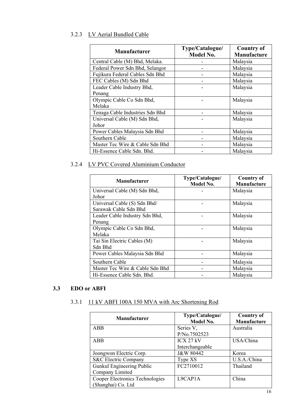### <span id="page-15-0"></span>3.2.3 LV Aerial Bundled Cable

| <b>Manufacturer</b>             | Type/Catalogue/<br><b>Model No.</b> | <b>Country of</b><br>Manufacture |
|---------------------------------|-------------------------------------|----------------------------------|
| Central Cable (M) Bhd, Melaka.  |                                     | Malaysia                         |
| Federal Power Sdn Bhd, Selangor |                                     | Malaysia                         |
| Fujikura Federal Cables Sdn Bhd |                                     | Malaysia                         |
| FEC Cables (M) Sdn Bhd          |                                     | Malaysia                         |
| Leader Cable Industry Bhd,      |                                     | Malaysia                         |
| Penang                          |                                     |                                  |
| Olympic Cable Co Sdn Bhd,       |                                     | Malaysia                         |
| Melaka                          |                                     |                                  |
| Tenaga Cable Industries Sdn Bhd |                                     | Malaysia                         |
| Universal Cable (M) Sdn Bhd,    |                                     | Malaysia                         |
| Johor                           |                                     |                                  |
| Power Cables Malaysia Sdn Bhd   |                                     | Malaysia                         |
| Southern Cable                  |                                     | Malaysia                         |
| Master Tec Wire & Cable Sdn Bhd |                                     | Malaysia                         |
| Hi-Essence Cable Sdn. Bhd.      |                                     | Malaysia                         |

### <span id="page-15-1"></span>3.2.4 LV PVC Covered Aluminium Conductor

| <b>Manufacturer</b>             | Type/Catalogue/<br>Model No. | <b>Country of</b><br>Manufacture |
|---------------------------------|------------------------------|----------------------------------|
| Universal Cable (M) Sdn Bhd,    |                              | Malaysia                         |
| Johor                           |                              |                                  |
| Universal Cable (S) Sdn Bhd/    |                              | Malaysia                         |
| Sarawak Cable Sdn Bhd           |                              |                                  |
| Leader Cable Industry Sdn Bhd,  |                              | Malaysia                         |
| Penang                          |                              |                                  |
| Olympic Cable Co Sdn Bhd,       |                              | Malaysia                         |
| Melaka                          |                              |                                  |
| Tai Sin Electric Cables (M)     |                              | Malaysia                         |
| Sdn Bhd                         |                              |                                  |
| Power Cables Malaysia Sdn Bhd   |                              | Malaysia                         |
| Southern Cable                  |                              | Malaysia                         |
| Master Tec Wire & Cable Sdn Bhd |                              | Malaysia                         |
| Hi-Essence Cable Sdn. Bhd.      |                              | Malaysia                         |

### <span id="page-15-3"></span><span id="page-15-2"></span>**3.3 EDO or ABFI**

### 3.3.1 11 kV ABFI 100A 150 MVA with Arc Shortening Rod

| <b>Manufacturer</b>             | Type/Catalogue/<br>Model No. | <b>Country of</b><br>Manufacture |
|---------------------------------|------------------------------|----------------------------------|
| ABB                             | Series V,                    | Australia                        |
|                                 | P/No.7502523                 |                                  |
| ABB                             | ICX 27 kV                    | USA/China                        |
|                                 | Interchangeable              |                                  |
| Joongwon Electric Corp.         | J&W 80442                    | Korea                            |
| S&C Electric Company            | Type XS                      | U.S.A./China                     |
| Gunkul Engineering Public       | FC2710012                    | Thailand                         |
| Company Limited                 |                              |                                  |
| Cooper Electronics Technologies | L9CAP1A                      | China                            |
| (Shanghai) Co. Ltd              |                              |                                  |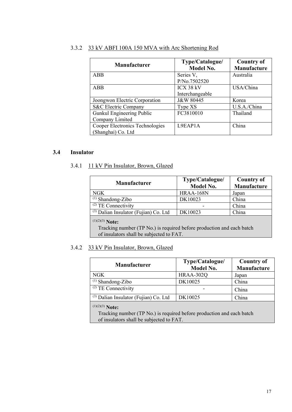| <b>Manufacturer</b>             | Type/Catalogue/<br><b>Model No.</b> | <b>Country of</b><br>Manufacture |
|---------------------------------|-------------------------------------|----------------------------------|
| <b>ABB</b>                      | Series V,                           | Australia                        |
|                                 | P/No.7502520                        |                                  |
| ABB                             | ICX 38 kV                           | USA/China                        |
|                                 | Interchangeable                     |                                  |
| Joongwon Electric Corporation   | J&W 80445                           | Korea                            |
| S&C Electric Company            | Type XS                             | U.S.A./China                     |
| Gunkul Engineering Public       | FC3810010                           | Thailand                         |
| Company Limited                 |                                     |                                  |
| Cooper Electronics Technologies | L9EAP1A                             | China                            |
| (Shanghai) Co. Ltd              |                                     |                                  |

### <span id="page-16-0"></span>3.3.2 33 kV ABFI 100A 150 MVA with Arc Shortening Rod

#### <span id="page-16-2"></span><span id="page-16-1"></span>**3.4 Insulator**

### 3.4.1 11 kV Pin Insulator, Brown, Glazed

| <b>Manufacturer</b>                                                                                                                    | Type/Catalogue/<br><b>Model No.</b> | <b>Country of</b><br>Manufacture |
|----------------------------------------------------------------------------------------------------------------------------------------|-------------------------------------|----------------------------------|
| <b>NGK</b>                                                                                                                             | HRAA-168N                           | Japan                            |
| $(1)$ Shandong-Zibo                                                                                                                    | DK10023                             | China                            |
| $(2)$ TE Connectivity                                                                                                                  |                                     | China                            |
| (3) Dalian Insulator (Fujian) Co. Ltd                                                                                                  | DK10023                             | China                            |
| $(1)(2)(3)$ Note:<br>Tracking number (TP No.) is required before production and each batch<br>of insulators shall be subjected to FAT. |                                     |                                  |

### <span id="page-16-3"></span>3.4.2 33 kV Pin Insulator, Brown, Glazed

| <b>Manufacturer</b>                                                                                                                    | Type/Catalogue/<br><b>Model No.</b> | <b>Country of</b><br>Manufacture |
|----------------------------------------------------------------------------------------------------------------------------------------|-------------------------------------|----------------------------------|
| NGK                                                                                                                                    | HRAA-302Q                           | Japan                            |
| $(1)$ Shandong-Zibo                                                                                                                    | DK10025                             | China                            |
| $(2)$ TE Connectivity                                                                                                                  |                                     | China                            |
| $^{(3)}$ Dalian Insulator (Fujian) Co. Ltd                                                                                             | DK10025                             | China                            |
| $(1)(2)(3)$ Note:<br>Tracking number (TP No.) is required before production and each batch<br>of insulators shall be subjected to FAT. |                                     |                                  |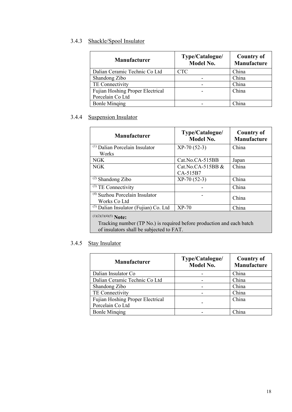### <span id="page-17-0"></span>3.4.3 Shackle/Spool Insulator

| <b>Manufacturer</b>                     | Type/Catalogue/<br><b>Model No.</b> | <b>Country of</b><br>Manufacture |
|-----------------------------------------|-------------------------------------|----------------------------------|
| Dalian Ceramic Technic Co Ltd           | <b>CTC</b>                          | China                            |
| Shandong Zibo                           |                                     | China                            |
| TE Connectivity                         |                                     | China                            |
| <b>Fujian Hoshing Proper Electrical</b> |                                     | China                            |
| Porcelain Co Ltd                        |                                     |                                  |
| <b>Bonle Minging</b>                    |                                     | China                            |

### <span id="page-17-1"></span>3.4.4 Suspension Insulator

| <b>Manufacturer</b>                                                                                               | Type/Catalogue/<br><b>Model No.</b> | <b>Country of</b><br><b>Manufacture</b> |
|-------------------------------------------------------------------------------------------------------------------|-------------------------------------|-----------------------------------------|
| <sup>(1)</sup> Dalian Porcelain Insulator<br>Works                                                                | $XP-70(52-3)$                       | China                                   |
| NGK.                                                                                                              | Cat.No.CA-515BB                     | Japan                                   |
| NGK                                                                                                               | Cat.No.CA-515BB &<br>CA-515B7       | China                                   |
| $(2)$ Shandong Zibo                                                                                               | $XP-70(52-3)$                       | China                                   |
| $(3)$ TE Connectivity                                                                                             |                                     | China                                   |
| <sup>(4)</sup> Suzhou Porcelain Insulator<br>Works Co Ltd                                                         |                                     | China                                   |
| $(5)$ Dalian Insulator (Fujian) Co. Ltd                                                                           | $XP-70$                             | China                                   |
| $(1)(2)(3)(4)(5)$ Note:                                                                                           |                                     |                                         |
| Tracking number (TP No.) is required before production and each batch<br>of insulators shall be subjected to FAT. |                                     |                                         |

### <span id="page-17-2"></span>3.4.5 Stay Insulator

| <b>Manufacturer</b>                     | Type/Catalogue/<br>Model No. | <b>Country of</b><br>Manufacture |
|-----------------------------------------|------------------------------|----------------------------------|
| Dalian Insulator Co                     |                              | China                            |
| Dalian Ceramic Technic Co Ltd           |                              | China                            |
| Shandong Zibo                           |                              | China                            |
| TE Connectivity                         |                              | China                            |
| <b>Fujian Hoshing Proper Electrical</b> |                              | China                            |
| Porcelain Co Ltd                        |                              |                                  |
| <b>Bonle Minging</b>                    |                              | China                            |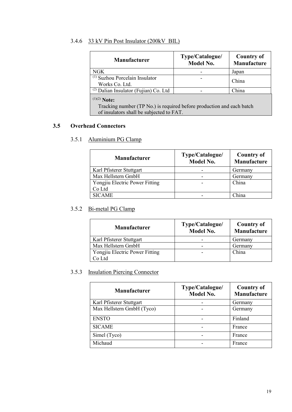### <span id="page-18-0"></span>3.4.6 33 kV Pin Post Insulator (200kV BIL)

| <b>Manufacturer</b>                                                                                                                    | Type/Catalogue/<br><b>Model No.</b> | <b>Country of</b><br>Manufacture |
|----------------------------------------------------------------------------------------------------------------------------------------|-------------------------------------|----------------------------------|
| NGK                                                                                                                                    |                                     | Japan                            |
| $(1)$ Suzhou Porcelain Insulator<br>Works Co. Ltd.                                                                                     |                                     | China                            |
| $(2)$ Dalian Insulator (Fujian) Co. Ltd                                                                                                |                                     | China                            |
| $^{(1)(2)}$ Note:<br>Tracking number (TP No.) is required before production and each batch<br>of insulators shall be subjected to FAT. |                                     |                                  |

### <span id="page-18-2"></span><span id="page-18-1"></span>**3.5 Overhead Connectors**

### 3.5.1 Aluminium PG Clamp

| <b>Manufacturer</b>            | Type/Catalogue/<br><b>Model No.</b> | <b>Country of</b><br>Manufacture |
|--------------------------------|-------------------------------------|----------------------------------|
| Karl Pfisterer Stuttgart       |                                     | Germany                          |
| Max Hellstern GmbH             |                                     | Germany                          |
| Yongjiu Electric Power Fitting |                                     | China                            |
| Co Ltd                         |                                     |                                  |
| <b>SICAME</b>                  |                                     | China                            |

### <span id="page-18-3"></span>3.5.2 Bi-metal PG Clamp

| <b>Manufacturer</b>            | Type/Catalogue/<br><b>Model No.</b> | <b>Country of</b><br>Manufacture |
|--------------------------------|-------------------------------------|----------------------------------|
| Karl Pfisterer Stuttgart       |                                     | Germany                          |
| Max Hellstern GmbH             |                                     | Germany                          |
| Yongjiu Electric Power Fitting |                                     | China                            |
| Co Ltd                         |                                     |                                  |

### <span id="page-18-4"></span>3.5.3 Insulation Piercing Connector

| <b>Manufacturer</b>       | Type/Catalogue/<br><b>Model No.</b> | <b>Country of</b><br>Manufacture |
|---------------------------|-------------------------------------|----------------------------------|
| Karl Pfisterer Stuttgart  |                                     | Germany                          |
| Max Hellstern GmbH (Tyco) |                                     | Germany                          |
| <b>ENSTO</b>              |                                     | Finland                          |
| <b>SICAME</b>             |                                     | France                           |
| Simel (Tyco)              |                                     | France                           |
| Michaud                   |                                     | France                           |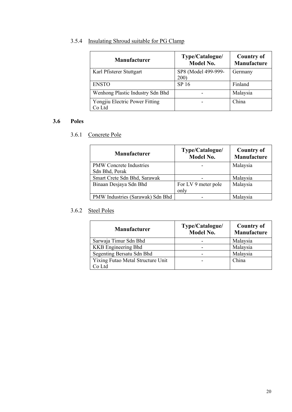### <span id="page-19-0"></span>3.5.4 Insulating Shroud suitable for PG Clamp

| Manufacturer                             | Type/Catalogue/<br><b>Model No.</b> | <b>Country of</b><br>Manufacture |
|------------------------------------------|-------------------------------------|----------------------------------|
| Karl Pfisterer Stuttgart                 | SP8 (Model 499-999-<br><b>200</b> ) | Germany                          |
| <b>ENSTO</b>                             | SP 16                               | Finland                          |
| Wenhong Plastic Industry Sdn Bhd         |                                     | Malaysia                         |
| Yongjiu Electric Power Fitting<br>Co Ltd |                                     | China                            |

### <span id="page-19-2"></span><span id="page-19-1"></span>**3.6 Poles**

3.6.1 Concrete Pole

| <b>Manufacturer</b>              | Type/Catalogue/<br><b>Model No.</b> | <b>Country of</b><br>Manufacture |
|----------------------------------|-------------------------------------|----------------------------------|
| <b>PMW</b> Concrete Industries   |                                     | Malaysia                         |
| Sdn Bhd, Perak                   |                                     |                                  |
| Smart Crete Sdn Bhd, Sarawak     |                                     | Malaysia                         |
| Binaan Desjaya Sdn Bhd           | For LV 9 meter pole                 | Malaysia                         |
|                                  | only                                |                                  |
| PMW Industries (Sarawak) Sdn Bhd |                                     | Malaysia                         |

### <span id="page-19-3"></span>3.6.2 Steel Poles

| <b>Manufacturer</b>               | Type/Catalogue/<br><b>Model No.</b> | <b>Country of</b><br>Manufacture |
|-----------------------------------|-------------------------------------|----------------------------------|
| Sarwaja Timur Sdn Bhd             |                                     | Malaysia                         |
| <b>KKB</b> Engineering Bhd        |                                     | Malaysia                         |
| Segenting Bersatu Sdn Bhd         |                                     | Malaysia                         |
| Yixing Futao Metal Structure Unit |                                     | China                            |
| Co Ltd                            |                                     |                                  |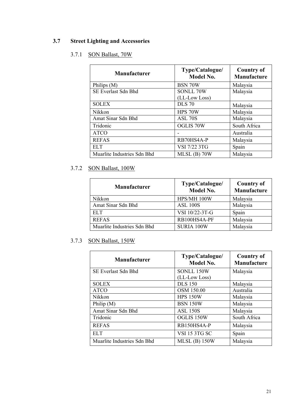### <span id="page-20-1"></span><span id="page-20-0"></span>**3.7 Street Lighting and Accessories**

### 3.7.1 SON Ballast, 70W

| <b>Manufacturer</b>         | Type/Catalogue/<br><b>Model No.</b> | <b>Country of</b><br>Manufacture |
|-----------------------------|-------------------------------------|----------------------------------|
| Philips (M)                 | BSN 70W                             | Malaysia                         |
| SE Everlast Sdn Bhd         | SONLL 70W<br>(LL-Low Loss)          | Malaysia                         |
| <b>SOLEX</b>                | <b>DLS</b> 70                       | Malaysia                         |
| Nikkon                      | HPS 70W                             | Malaysia                         |
| Amat Sinar Sdn Bhd          | ASL 70S                             | Malaysia                         |
| Tridonic                    | <b>OGLIS 70W</b>                    | South Africa                     |
| <b>ATCO</b>                 |                                     | Australia                        |
| <b>REFAS</b>                | RB70HS4A-P                          | Malaysia                         |
| ELT <sub></sub>             | VSI 7/22 3TG                        | Spain                            |
| Muarlite Industries Sdn Bhd | $MLSL$ (B) 70W                      | Malaysia                         |

### <span id="page-20-2"></span>3.7.2 SON Ballast, 100W

| <b>Manufacturer</b>         | Type/Catalogue/<br><b>Model No.</b> | <b>Country of</b><br>Manufacture |
|-----------------------------|-------------------------------------|----------------------------------|
| Nikkon                      | HPS/MH 100W                         | Malaysia                         |
| Amat Sinar Sdn Bhd          | <b>ASL 100S</b>                     | Malaysia                         |
| ELT.                        | VSI 10/22-3T-G                      | Spain                            |
| <b>REFAS</b>                | RB100HS4A-PF                        | Malaysia                         |
| Muarlite Industries Sdn Bhd | SURIA 100W                          | Malaysia                         |

### <span id="page-20-3"></span>3.7.3 SON Ballast, 150W

| <b>Manufacturer</b>         | Type/Catalogue/<br><b>Model No.</b> | <b>Country of</b><br><b>Manufacture</b> |
|-----------------------------|-------------------------------------|-----------------------------------------|
| SE Everlast Sdn Bhd         | SONLL 150W                          | Malaysia                                |
|                             | (LL-Low Loss)                       |                                         |
| <b>SOLEX</b>                | <b>DLS 150</b>                      | Malaysia                                |
| <b>ATCO</b>                 | OSM 150.00                          | Australia                               |
| Nikkon                      | <b>HPS 150W</b>                     | Malaysia                                |
| Philip $(M)$                | <b>BSN 150W</b>                     | Malaysia                                |
| Amat Sinar Sdn Bhd          | <b>ASL 150S</b>                     | Malaysia                                |
| Tridonic                    | OGLIS 150W                          | South Africa                            |
| <b>REFAS</b>                | RB150HS4A-P                         | Malaysia                                |
| <b>ELT</b>                  | <b>VSI 15 3TG SC</b>                | Spain                                   |
| Muarlite Industries Sdn Bhd | $MLSL$ (B) 150W                     | Malaysia                                |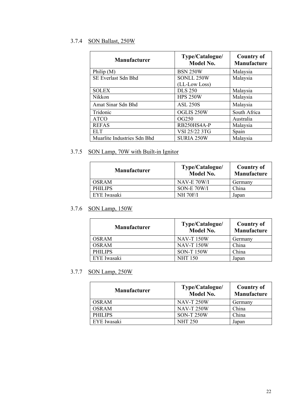### <span id="page-21-0"></span>3.7.4 SON Ballast, 250W

| <b>Manufacturer</b>         | Type/Catalogue/<br><b>Model No.</b> | <b>Country of</b><br>Manufacture |
|-----------------------------|-------------------------------------|----------------------------------|
| Philip $(M)$                | <b>BSN 250W</b>                     | Malaysia                         |
| SE Everlast Sdn Bhd         | SONLL 250W                          | Malaysia                         |
|                             | (LL-Low Loss)                       |                                  |
| <b>SOLEX</b>                | <b>DLS 250</b>                      | Malaysia                         |
| Nikkon                      | <b>HPS 250W</b>                     | Malaysia                         |
| Amat Sinar Sdn Bhd          | <b>ASL 250S</b>                     | Malaysia                         |
| Tridonic                    | OGLIS 250W                          | South Africa                     |
| <b>ATCO</b>                 | OG250                               | Australia                        |
| <b>REFAS</b>                | RB250HS4A-P                         | Malaysia                         |
| <b>ELT</b>                  | VSI 25/22 3TG                       | Spain                            |
| Muarlite Industries Sdn Bhd | <b>SURIA 250W</b>                   | Malaysia                         |

### <span id="page-21-1"></span>3.7.5 SON Lamp, 70W with Built-in Ignitor

| <b>Manufacturer</b> | Type/Catalogue/<br><b>Model No.</b> | Country of<br>Manufacture |
|---------------------|-------------------------------------|---------------------------|
| <b>OSRAM</b>        | NAV-E 70W/I                         | Germany                   |
| PHILIPS             | SON-E 70W/I                         | China                     |
| EYE Iwasaki         | <b>NH 70F/I</b>                     | Japan                     |

### <span id="page-21-2"></span>3.7.6 SON Lamp, 150W

| <b>Manufacturer</b> | Type/Catalogue/<br>Model No. | <b>Country of</b><br>Manufacture |
|---------------------|------------------------------|----------------------------------|
| OSRAM               | <b>NAV-T150W</b>             | Germany                          |
| <b>OSRAM</b>        | <b>NAV-T150W</b>             | China                            |
| PHILIPS             | <b>SON-T150W</b>             | China                            |
| EYE Iwasaki         | <b>NHT 150</b>               | Japan                            |

### <span id="page-21-3"></span>3.7.7 SON Lamp, 250W

| <b>Manufacturer</b> | Type/Catalogue/<br><b>Model No.</b> | <b>Country of</b><br>Manufacture |
|---------------------|-------------------------------------|----------------------------------|
| <b>OSRAM</b>        | <b>NAV-T 250W</b>                   | Germany                          |
| <b>OSRAM</b>        | <b>NAV-T 250W</b>                   | China                            |
| PHILIPS             | <b>SON-T250W</b>                    | China                            |
| EYE Iwasaki         | <b>NHT 250</b>                      | Japan                            |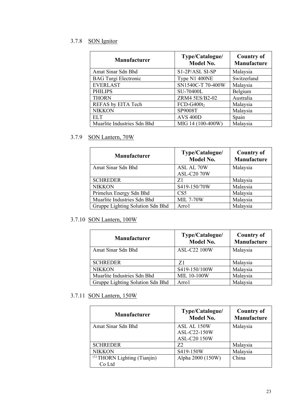### <span id="page-22-0"></span>3.7.8 SON Ignitor

| Manufacturer                | Type/Catalogue/<br>Model No. | <b>Country of</b><br>Manufacture |
|-----------------------------|------------------------------|----------------------------------|
| Amat Sinar Sdn Bhd          | S1-2P/ASL SI-SP              | Malaysia                         |
| <b>BAG Turgi Electronic</b> | Type N1 400NE                | Switzerland                      |
| <b>EVERLAST</b>             | SN1540C-T 70-400W            | Malaysia                         |
| <b>PHILIPS</b>              | SU-70400L                    | Belgium                          |
| <b>THORN</b>                | ZRM4 5ES/B2-02               | Australia                        |
| REFAS by EITA Tech          | $FCD-G400t2$                 | Malaysia                         |
| <b>NIKKON</b>               | SP9008T                      | Malaysia                         |
| <b>ELT</b>                  | <b>AVS 400D</b>              | Spain                            |
| Muarlite Industries Sdn Bhd | MIG 14 (100-400W)            | Malaysia                         |

### <span id="page-22-1"></span>3.7.9 SON Lantern, 70W

| <b>Manufacturer</b>              | Type/Catalogue/<br><b>Model No.</b> | <b>Country of</b><br>Manufacture |
|----------------------------------|-------------------------------------|----------------------------------|
| Amat Sinar Sdn Bhd               | ASL AL 70W<br><b>ASL-C20 70W</b>    | Malaysia                         |
| <b>SCHREDER</b>                  | Z1                                  | Malaysia                         |
| <b>NIKKON</b>                    | S419-150/70W                        | Malaysia                         |
| Primelux Energy Sdn Bhd          | CS5                                 | Malaysia                         |
| Muarlite Industries Sdn Bhd      | <b>MIL 7-70W</b>                    | Malaysia                         |
| Gruppe Lighting Solution Sdn Bhd | Arro1                               | Malaysia                         |

### <span id="page-22-2"></span>3.7.10 SON Lantern, 100W

| <b>Manufacturer</b>              | Type/Catalogue/<br><b>Model No.</b> | <b>Country of</b><br>Manufacture |
|----------------------------------|-------------------------------------|----------------------------------|
| Amat Sinar Sdn Bhd               | <b>ASL-C22 100W</b>                 | Malaysia                         |
| <b>SCHREDER</b>                  | 71                                  | Malaysia                         |
| <b>NIKKON</b>                    | S419-150/100W                       | Malaysia                         |
| Muarlite Industries Sdn Bhd      | <b>MIL 10-100W</b>                  | Malaysia                         |
| Gruppe Lighting Solution Sdn Bhd | Arro1                               | Malaysia                         |

### <span id="page-22-3"></span>3.7.11 SON Lantern, 150W

| <b>Manufacturer</b>               | Type/Catalogue/<br><b>Model No.</b> | <b>Country of</b><br>Manufacture |
|-----------------------------------|-------------------------------------|----------------------------------|
| Amat Sinar Sdn Bhd                | ASL AL 150W                         | Malaysia                         |
|                                   | ASL-C22-150W                        |                                  |
|                                   | ASL-C20 150W                        |                                  |
| <b>SCHREDER</b>                   | Z <sub>2</sub>                      | Malaysia                         |
| <b>NIKKON</b>                     | S419-150W                           | Malaysia                         |
| $^{(1)}$ THORN Lighting (Tianjin) | Alpha 2000 (150W)                   | China                            |
| Co Ltd                            |                                     |                                  |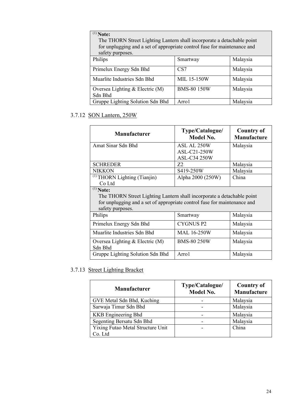| $(1)$ Note:<br>The THORN Street Lighting Lantern shall incorporate a detachable point<br>for unplugging and a set of appropriate control fuse for maintenance and |                    |          |
|-------------------------------------------------------------------------------------------------------------------------------------------------------------------|--------------------|----------|
| safety purposes.                                                                                                                                                  |                    |          |
| Philips                                                                                                                                                           | Smartway           | Malaysia |
| Primelux Energy Sdn Bhd                                                                                                                                           | CS <sub>7</sub>    | Malaysia |
| Muarlite Industries Sdn Bhd                                                                                                                                       | <b>MIL 15-150W</b> | Malaysia |
| Oversea Lighting $&$ Electric (M)<br>Sdn Bhd                                                                                                                      | <b>BMS-80 150W</b> | Malaysia |
| Gruppe Lighting Solution Sdn Bhd                                                                                                                                  | Arro1              | Malaysia |

### <span id="page-23-0"></span>3.7.12 SON Lantern, 250W

| Manufacturer                                                                                                                                                                          | Type/Catalogue/<br><b>Model No.</b> | <b>Country of</b><br><b>Manufacture</b> |
|---------------------------------------------------------------------------------------------------------------------------------------------------------------------------------------|-------------------------------------|-----------------------------------------|
| Amat Sinar Sdn Bhd                                                                                                                                                                    | ASL AL 250W<br>ASL-C21-250W         | Malaysia                                |
|                                                                                                                                                                                       | <b>ASL-C34 250W</b>                 |                                         |
| <b>SCHREDER</b>                                                                                                                                                                       | Z2                                  | Malaysia                                |
| <b>NIKKON</b>                                                                                                                                                                         | S419-250W                           | Malaysia                                |
| $^{(1)}$ THORN Lighting (Tianjin)                                                                                                                                                     | Alpha 2000 (250W)                   | China                                   |
| Co Ltd                                                                                                                                                                                |                                     |                                         |
| $(1)$ Note:<br>The THORN Street Lighting Lantern shall incorporate a detachable point<br>for unplugging and a set of appropriate control fuse for maintenance and<br>safety purposes. |                                     |                                         |
| Philips                                                                                                                                                                               | Smartway                            | Malaysia                                |
| Primelux Energy Sdn Bhd                                                                                                                                                               | CYGNUS P2                           | Malaysia                                |
| Muarlite Industries Sdn Bhd                                                                                                                                                           | <b>MAL 16-250W</b>                  | Malaysia                                |
| Oversea Lighting & Electric (M)<br>Sdn Bhd                                                                                                                                            | <b>BMS-80 250W</b>                  | Malaysia                                |
| Gruppe Lighting Solution Sdn Bhd                                                                                                                                                      | Arro1                               | Malaysia                                |

### <span id="page-23-1"></span>3.7.13 Street Lighting Bracket

| Manufacturer                      | Type/Catalogue/<br><b>Model No.</b> | <b>Country of</b><br>Manufacture |
|-----------------------------------|-------------------------------------|----------------------------------|
| GVE Metal Sdn Bhd, Kuching        |                                     | Malaysia                         |
| Sarwaja Timur Sdn Bhd             |                                     | Malaysia                         |
| <b>KKB</b> Engineering Bhd        |                                     | Malaysia                         |
| Segenting Bersatu Sdn Bhd         |                                     | Malaysia                         |
| Yixing Futao Metal Structure Unit |                                     | China                            |
| Co. Ltd                           |                                     |                                  |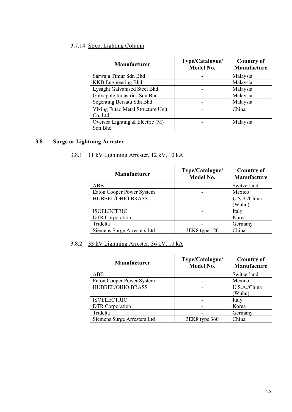### <span id="page-24-0"></span>3.7.14 Street Lighting Column

| <b>Manufacturer</b>               | Type/Catalogue/<br><b>Model No.</b> | <b>Country of</b><br>Manufacture |
|-----------------------------------|-------------------------------------|----------------------------------|
| Sarwaja Timur Sdn Bhd             |                                     | Malaysia                         |
| <b>KKB</b> Engineering Bhd        |                                     | Malaysia                         |
| Lysaght Galvanised Steel Bhd      |                                     | Malaysia                         |
| Galvapole Industries Sdn Bhd      |                                     | Malaysia                         |
| Segenting Bersatu Sdn Bhd         |                                     | Malaysia                         |
| Yixing Futao Metal Structure Unit |                                     | China                            |
| Co. Ltd                           |                                     |                                  |
| Oversea Lighting $&$ Electric (M) |                                     | Malaysia                         |
| Sdn Bhd                           |                                     |                                  |

### <span id="page-24-1"></span>**3.8 Surge or Lightning Arrester**

### 3.8.1 11 kV Lightning Arrester, 12 kV, 10 kA

| <b>Manufacturer</b>         | Type/Catalogue/<br><b>Model No.</b> | <b>Country of</b><br>Manufacture |
|-----------------------------|-------------------------------------|----------------------------------|
| <b>ABB</b>                  |                                     | Switzerland                      |
| Eaton Cooper Power System   |                                     | Mexico                           |
| <b>HUBBEL/OHIO BRASS</b>    |                                     | U.S.A./China<br>(Wuhu)           |
| <b>ISOELECTRIC</b>          |                                     | Italy                            |
| DTR Corporation             |                                     | Korea                            |
| Tridelta                    |                                     | Germany                          |
| Siemens Surge Arresters Ltd | 3EK8 type 120                       | China                            |

### <span id="page-24-2"></span>3.8.2 33 kV Lightning Arrester, 36 kV, 10 kA

| <b>Manufacturer</b>         | Type/Catalogue/<br>Model No. | <b>Country of</b><br>Manufacture |
|-----------------------------|------------------------------|----------------------------------|
| ABB                         |                              | Switzerland                      |
| Eaton Cooper Power System   |                              | Mexico                           |
| HUBBEL/OHIO BRASS           |                              | U.S.A./China                     |
|                             |                              | (Wuhu)                           |
| <b>ISOELECTRIC</b>          |                              | Italy                            |
| DTR Corporation             |                              | Korea                            |
| Tridelta                    |                              | Germany                          |
| Siemens Surge Arresters Ltd | 3EK8 type 360                | China                            |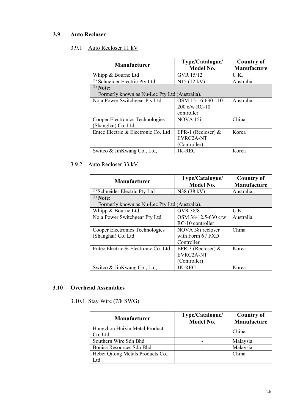### <span id="page-25-1"></span><span id="page-25-0"></span>**3.9 Auto Recloser**

### 3.9.1 Auto Recloser 11 kV

| <b>Manufacturer</b>                           | Type/Catalogue/<br><b>Model No.</b> | <b>Country of</b><br>Manufacture |
|-----------------------------------------------|-------------------------------------|----------------------------------|
| Whipp & Bourne Ltd                            | GVR 15/12                           | U.K.                             |
| <sup>(1)</sup> Schneider Electric Pty Ltd     | N15(12 kV)                          | Australia                        |
| $(1)$ Note:                                   |                                     |                                  |
| Formerly known as Nu-Lec Pty Ltd (Australia). |                                     |                                  |
| Noja Power Switchgear Pty Ltd                 | OSM 15-16-630-110-                  | Australia                        |
|                                               | $200 \text{ c/w RC-10}$             |                                  |
|                                               | controller                          |                                  |
| Cooper Electronics Technologies               | NOVA 15i                            | China                            |
| (Shanghai) Co. Ltd                            |                                     |                                  |
| Entec Electric & Electronic Co. Ltd           | EPR-1 (Recloser) $&$                | Korea                            |
|                                               | EVRC2A-NT                           |                                  |
|                                               | (Controller)                        |                                  |
| Switco & JinKwang Co., Ltd,                   | <b>JK-REC</b>                       | Korea                            |

### <span id="page-25-2"></span>3.9.2 Auto Recloser 33 kV

| <b>Manufacturer</b>                           | Type/Catalogue/<br><b>Model No.</b> | <b>Country of</b><br>Manufacture |
|-----------------------------------------------|-------------------------------------|----------------------------------|
| <sup>(1)</sup> Schneider Electric Pty Ltd     | N38 (38 kV)                         | Australia                        |
| $(1)$ Note:                                   |                                     |                                  |
| Formerly known as Nu-Lec Pty Ltd (Australia). |                                     |                                  |
| Whipp & Bourne Ltd                            | <b>GVR 38/8</b>                     | U.K.                             |
| Noja Power Switchgear Pty Ltd                 | OSM 38-12.5-630 c/w                 | Australia                        |
|                                               | RC-10 controller                    |                                  |
| Cooper Electronics Technologies               | NOVA 38i recloser                   | China                            |
| (Shanghai) Co. Ltd                            | with Form $6$ / FXD                 |                                  |
|                                               | Controller                          |                                  |
| Entec Electric & Electronic Co. Ltd.          | EPR-3 (Recloser) $&$                | Korea                            |
|                                               | EVRC2A-NT                           |                                  |
|                                               | (Controller)                        |                                  |
| Switco & JinKwang Co., Ltd,                   | <b>JK-REC</b>                       | Korea                            |

### <span id="page-25-4"></span><span id="page-25-3"></span>**3.10 Overhead Assemblies**

### 3.10.1 Stay Wire (7/8 SWG)

| <b>Manufacturer</b>                       | Type/Catalogue/<br><b>Model No.</b> | <b>Country of</b><br>Manufacture |
|-------------------------------------------|-------------------------------------|----------------------------------|
| Hangzhou Huixin Metal Product<br>Co. Ltd. |                                     | China                            |
| Southern Wire Sdn Bhd                     |                                     | Malaysia                         |
| Bonisa Resources Sdn Bhd                  |                                     | Malaysia                         |
| Hebei Qitong Metals Products Co.,         |                                     | China                            |
| Ltd.                                      |                                     |                                  |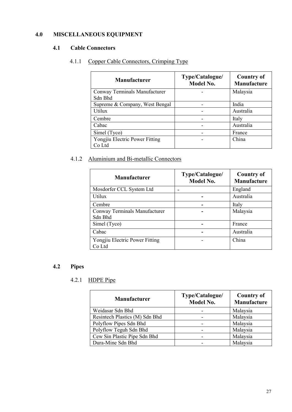### <span id="page-26-1"></span><span id="page-26-0"></span>**4.0 MISCELLANEOUS EQUIPMENT**

### <span id="page-26-2"></span>**4.1 Cable Connectors**

### 4.1.1 Copper Cable Connectors, Crimping Type

| <b>Manufacturer</b>            | Type/Catalogue/<br><b>Model No.</b> | <b>Country of</b><br>Manufacture |
|--------------------------------|-------------------------------------|----------------------------------|
| Conway Terminals Manufacturer  |                                     | Malaysia                         |
| Sdn Bhd                        |                                     |                                  |
| Supreme & Company, West Bengal |                                     | India                            |
| Utilux                         |                                     | Australia                        |
| Cembre                         |                                     | Italy                            |
| Cabac                          |                                     | Australia                        |
| Simel (Tyco)                   |                                     | France                           |
| Yongjiu Electric Power Fitting |                                     | China                            |
| Co Ltd                         |                                     |                                  |

### <span id="page-26-3"></span>4.1.2 Aluminium and Bi-metallic Connectors

| <b>Manufacturer</b>                      | Type/Catalogue/<br><b>Model No.</b> | <b>Country of</b><br>Manufacture |
|------------------------------------------|-------------------------------------|----------------------------------|
| Mosdorfer CCL System Ltd                 |                                     | England                          |
| Utilux                                   |                                     | Australia                        |
| Cembre                                   |                                     | Italy                            |
| Conway Terminals Manufacturer<br>Sdn Bhd |                                     | Malaysia                         |
| Simel (Tyco)                             |                                     | France                           |
| Cabac                                    |                                     | Australia                        |
| Yongjiu Electric Power Fitting<br>Co Ltd |                                     | China                            |

### <span id="page-26-5"></span><span id="page-26-4"></span>**4.2 Pipes**

### 4.2.1 HDPE Pipe

| <b>Manufacturer</b>            | Type/Catalogue/<br><b>Model No.</b> | <b>Country of</b><br>Manufacture |
|--------------------------------|-------------------------------------|----------------------------------|
| Weidasar Sdn Bhd               |                                     | Malaysia                         |
| Resintech Plastics (M) Sdn Bhd |                                     | Malaysia                         |
| Polyflow Pipes Sdn Bhd         |                                     | Malaysia                         |
| Polyflow Teguh Sdn Bhd         |                                     | Malaysia                         |
| Cew Sin Plastic Pipe Sdn Bhd   |                                     | Malaysia                         |
| Dura-Mine Sdn Bhd              |                                     | Malaysia                         |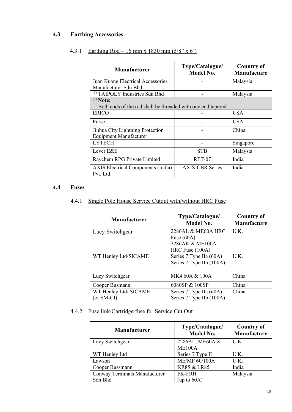### <span id="page-27-1"></span><span id="page-27-0"></span>**4.3 Earthing Accessories**

| <b>Manufacturer</b>                                                         | Type/Catalogue/<br><b>Model No.</b> | <b>Country of</b><br><b>Manufacture</b> |
|-----------------------------------------------------------------------------|-------------------------------------|-----------------------------------------|
| Juan Kuang Electrical Accessories<br>Manufacturer Sdn Bhd                   |                                     | Malaysia                                |
| <sup>(1)</sup> TAIPOLY Industries Sdn Bhd                                   |                                     | Malaysia                                |
| $(1)$ Note:<br>Both ends of the rod shall be threaded with one end tapered. |                                     |                                         |
| <b>ERICO</b>                                                                |                                     | <b>USA</b>                              |
| Furse                                                                       |                                     | <b>USA</b>                              |
| Jinhua City Lightning Protection<br><b>Equipment Manufacturer</b>           |                                     | China                                   |
| <b>LYTECH</b>                                                               |                                     | Singapore                               |
| Lever E&E                                                                   | <b>STB</b>                          | Malaysia                                |
| Raychem RPG Private Limited                                                 | RET-07                              | India                                   |
| <b>AXIS</b> Electrical Components (India)<br>Pvt. Ltd.                      | <b>AXIS-CBR Series</b>              | India                                   |

### 4.3.1 Earthing Rod – 16 mm x 1830 mm  $(5/8" \times 6')$

### <span id="page-27-3"></span><span id="page-27-2"></span>**4.4 Fuses**

### 4.4.1 Single Pole House Service Cutout with/without HRC Fuse

| <b>Manufacturer</b>   | Type/Catalogue/<br><b>Model No.</b> | <b>Country of</b><br><b>Manufacture</b> |
|-----------------------|-------------------------------------|-----------------------------------------|
| Lucy Switchgear       | 2286AL & ME60A HRC                  | U.K.                                    |
|                       | Fuse $(60A)$                        |                                         |
|                       | 2286AK & ME100A                     |                                         |
|                       | HRC Fuse (100A)                     |                                         |
| WT Henley Ltd/SICAME  | Series 7 Type IIa (60A)             | U.K.                                    |
|                       | Series 7 Type IIb (100A)            |                                         |
|                       |                                     |                                         |
| Lucy Switchgear       | MK4 60A & 100A                      | China                                   |
| Cooper Busmann        | 6080SP & 100SP                      | China                                   |
| WT Henley Ltd/ SICAME | Series 7 Type IIa (60A)             | China                                   |
| (or SM-CI)            | Series 7 Type IIb (100A)            |                                         |

### <span id="page-27-4"></span>4.4.2 Fuse link/Cartridge fuse for Service Cut Out

| Manufacturer                  | Type/Catalogue/<br>Model No. | <b>Country of</b><br>Manufacture |
|-------------------------------|------------------------------|----------------------------------|
| Lucy Switchgear               | 2286AL, ME60A &              | U.K.                             |
|                               | <b>ME100A</b>                |                                  |
| WT Henley Ltd                 | Series 7 Type II             | U.K.                             |
| Lawson                        | <b>ME/MF 60/100A</b>         | U.K.                             |
| Cooper Bussmann               | <b>KR85 &amp; LR85</b>       | India                            |
| Conway Terminals Manufacturer | <b>FK-FRH</b>                | Malaysia                         |
| Sdn Bhd                       | (up to $60A$ )               |                                  |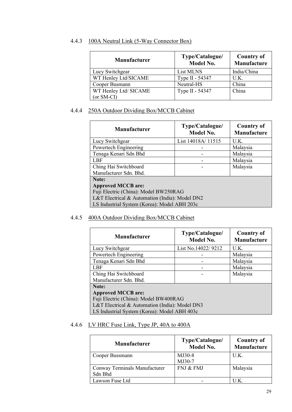<span id="page-28-0"></span>

|       | Manufasturen                            | Type/Catalogue/ |
|-------|-----------------------------------------|-----------------|
| 4.4.3 | 100A Neutral Link (5-Way Connector Box) |                 |

| <b>Manufacturer</b>   | Type/Catalogue/<br>Model No. | <b>Country of</b><br>Manufacture |
|-----------------------|------------------------------|----------------------------------|
| Lucy Switchgear       | List MLNS                    | India/China                      |
| WT Henley Ltd/SICAME  | Type II - 54347              | U.K.                             |
| Cooper Busmann        | Neutral-HS                   | China                            |
| WT Henley Ltd/ SICAME | Type II - 54347              | China                            |
| (or SM-CI)            |                              |                                  |

### <span id="page-28-1"></span>4.4.4 250A Outdoor Dividing Box/MCCB Cabinet

| <b>Manufacturer</b>                            | Type/Catalogue/<br><b>Model No.</b> | <b>Country of</b><br>Manufacture |  |
|------------------------------------------------|-------------------------------------|----------------------------------|--|
| Lucy Switchgear                                | List 14018A/11515                   | U.K.                             |  |
| Powertech Engineering                          |                                     | Malaysia                         |  |
| Tenaga Kenari Sdn Bhd                          |                                     | Malaysia                         |  |
| <b>LBF</b>                                     |                                     | Malaysia                         |  |
| Ching Hai Switchboard                          |                                     | Malaysia                         |  |
| Manufacturer Sdn. Bhd.                         |                                     |                                  |  |
| Note:                                          |                                     |                                  |  |
| <b>Approved MCCB</b> are:                      |                                     |                                  |  |
| Fuji Electric (China): Model BW250RAG          |                                     |                                  |  |
| L&T Electrical & Automation (India): Model DN2 |                                     |                                  |  |
| LS Industrial System (Korea): Model ABH 203c   |                                     |                                  |  |

### <span id="page-28-2"></span>4.4.5 400A Outdoor Dividing Box/MCCB Cabinet

| <b>Manufacturer</b>                            | Type/Catalogue/<br><b>Model No.</b> | <b>Country of</b><br>Manufacture |
|------------------------------------------------|-------------------------------------|----------------------------------|
| Lucy Switchgear                                | List No.14022/9212                  | U.K.                             |
| Powertech Engineering                          |                                     | Malaysia                         |
| Tenaga Kenari Sdn Bhd                          |                                     | Malaysia                         |
| LBF                                            |                                     | Malaysia                         |
| Ching Hai Switchboard                          |                                     | Malaysia                         |
| Manufacturer Sdn. Bhd.                         |                                     |                                  |
| Note:                                          |                                     |                                  |
| <b>Approved MCCB</b> are:                      |                                     |                                  |
| Fuji Electric (China): Model BW400RAG          |                                     |                                  |
| L&T Electrical & Automation (India): Model DN3 |                                     |                                  |
| LS Industrial System (Korea): Model ABH 403c   |                                     |                                  |

### <span id="page-28-3"></span>4.4.6 LV HRC Fuse Link, Type JP, 40A to 400A

| <b>Manufacturer</b>                      | Type/Catalogue/<br><b>Model No.</b> | <b>Country of</b><br>Manufacture |
|------------------------------------------|-------------------------------------|----------------------------------|
| Cooper Bussmann                          | MJ30-8<br>MJ30-7                    | U.K.                             |
| Conway Terminals Manufacturer<br>Sdn Bhd | FNJ & FMJ                           | Malaysia                         |
| Lawson Fuse Ltd                          |                                     | U.K.                             |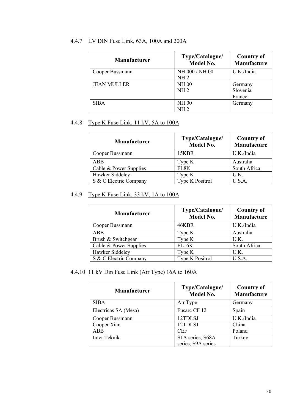| <b>Manufacturer</b> | Type/Catalogue/<br><b>Model No.</b> | <b>Country of</b><br>Manufacture |
|---------------------|-------------------------------------|----------------------------------|
| Cooper Bussmann     | NH 000 / NH 00                      | U.K./India                       |
|                     | NH <sub>2</sub>                     |                                  |
| <b>JEAN MULLER</b>  | <b>NH00</b>                         | Germany                          |
|                     | NH <sub>2</sub>                     | Slovenia                         |
|                     |                                     | France                           |
| <b>SIBA</b>         | <b>NH00</b>                         | Germany                          |
|                     | NH 2.                               |                                  |

### <span id="page-29-0"></span>4.4.7 LV DIN Fuse Link, 63A, 100A and 200A

### <span id="page-29-1"></span>4.4.8 Type K Fuse Link, 11 kV, 5A to 100A

| <b>Manufacturer</b>    | Type/Catalogue/<br><b>Model No.</b> | <b>Country of</b><br>Manufacture |
|------------------------|-------------------------------------|----------------------------------|
| Cooper Bussmann        | 15KBR                               | U.K./India                       |
| ABB                    | Type K                              | Australia                        |
| Cable & Power Supplies | FL8K                                | South Africa                     |
| Hawker Siddeley        | Type K                              | U.K.                             |
| S & C Electric Company | Type K Positrol                     | U.S.A.                           |

### <span id="page-29-2"></span>4.4.9 Type K Fuse Link, 33 kV, 1A to 100A

| <b>Manufacturer</b>    | Type/Catalogue/<br><b>Model No.</b> | <b>Country of</b><br>Manufacture |
|------------------------|-------------------------------------|----------------------------------|
| Cooper Bussmann        | 46KBR                               | U.K./India                       |
| ABB                    | Type K                              | Australia                        |
| Brush & Switchgear     | Type K                              | U.K.                             |
| Cable & Power Supplies | FL16K                               | South Africa                     |
| Hawker Siddeley        | Type K                              | U.K.                             |
| S & C Electric Company | Type K Positrol                     | U.S.A.                           |

### <span id="page-29-3"></span>4.4.10 11 kV Din Fuse Link (Air Type) 16A to 160A

| <b>Manufacturer</b>  | Type/Catalogue/<br><b>Model No.</b>    | <b>Country of</b><br>Manufacture |
|----------------------|----------------------------------------|----------------------------------|
| SIBA                 | Air Type                               | Germany                          |
| Electricas SA (Mesa) | Fusarc CF 12                           | Spain                            |
| Cooper Bussmann      | 12TDLSJ                                | U.K./India                       |
| Cooper Xian          | 12TDLSJ                                | China                            |
| ABB                  | <b>CEF</b>                             | Poland                           |
| Inter Teknik         | S1A series, S68A<br>series, S9A series | Turkey                           |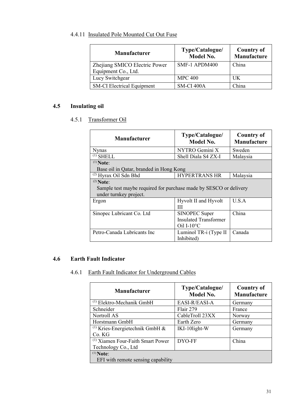### <span id="page-30-0"></span>4.4.11 Insulated Pole Mounted Cut Out Fuse

| <b>Manufacturer</b>               | Type/Catalogue/<br><b>Model No.</b> | <b>Country of</b><br>Manufacture |
|-----------------------------------|-------------------------------------|----------------------------------|
| Zhejiang SMICO Electric Power     | SMF-1 APDM400                       | China                            |
| Equipment Co., Ltd.               |                                     |                                  |
| Lucy Switchgear                   | <b>MPC 400</b>                      | UK.                              |
| <b>SM-CI Electrical Equipment</b> | SM-CI 400A                          | China                            |

### <span id="page-30-2"></span><span id="page-30-1"></span>**4.5 Insulating oil**

### 4.5.1 Transformer Oil

| <b>Manufacturer</b>                                                                                        | Type/Catalogue/<br><b>Model No.</b>                                    | <b>Country of</b><br><b>Manufacture</b> |
|------------------------------------------------------------------------------------------------------------|------------------------------------------------------------------------|-----------------------------------------|
| <b>N</b> vnas                                                                                              | NYTRO Gemini X                                                         | Sweden                                  |
| $^{(1)}$ SHELL                                                                                             | Shell Diala S4 ZX-I                                                    | Malaysia                                |
| $(1)$ Note:<br>Base oil in Qatar, branded in Hong Kong                                                     |                                                                        |                                         |
| $(2)$ Hyrax Oil Sdn Bhd                                                                                    | <b>HYPERTRANS HR</b>                                                   | Malaysia                                |
| $(2)$ Note:<br>Sample test maybe required for purchase made by SESCO or delivery<br>under turnkey project. |                                                                        |                                         |
| Ergon                                                                                                      | Hyvolt II and Hyvolt<br>Ш                                              | U.S.A                                   |
| Sinopec Lubricant Co. Ltd                                                                                  | SINOPEC Super<br><b>Insulated Transformer</b><br>Oil I- $10^{\circ}$ C | China                                   |
| Petro-Canada Lubricants Inc                                                                                | Luminol TR-i (Type II<br>Inhibited)                                    | Canada                                  |

#### <span id="page-30-4"></span><span id="page-30-3"></span>**4.6 Earth Fault Indicator**

### 4.6.1 Earth Fault Indicator for Underground Cables

| <b>Manufacturer</b>                                                 | Type/Catalogue/<br><b>Model No.</b> | <b>Country of</b><br><b>Manufacture</b> |
|---------------------------------------------------------------------|-------------------------------------|-----------------------------------------|
| $^{(1)}$ Elektro-Mechanik GmbH                                      | EASI-R/EASI-A                       | Germany                                 |
| Schneider                                                           | Flair 279                           | France                                  |
| Nortroll AS                                                         | CableTroll 23XX                     | Norway                                  |
| Horstmann GmbH                                                      | Earth Zero                          | Germany                                 |
| <sup>(1)</sup> Kries-Energietechnik GmbH $\&$<br>Co. KG             | IKI-10light-W                       | Germany                                 |
| <sup>(1)</sup> Xiamen Four-Faith Smart Power<br>Technology Co., Ltd | DYO-FF                              | China                                   |
| $(1)$ Note:<br>EFI with remote sensing capability                   |                                     |                                         |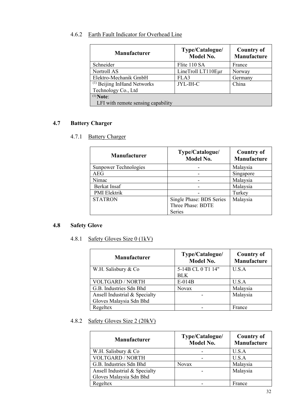### <span id="page-31-0"></span>4.6.2 Earth Fault Indicator for Overhead Line

| <b>Manufacturer</b>                    | Type/Catalogue/<br><b>Model No.</b> | <b>Country of</b><br>Manufacture |
|----------------------------------------|-------------------------------------|----------------------------------|
| Schneider                              | Flite 110 SA                        | France                           |
| Nortroll AS                            | LineTroll LT110Eur                  | Norway                           |
| Elektro-Mechanik GmbH                  | FLA3                                | Germany                          |
| <sup>(1)</sup> Beijing InHand Networks | JYL-IH-C                            | China                            |
| Technology Co., Ltd                    |                                     |                                  |
| $(1)$ Note:                            |                                     |                                  |
| LFI with remote sensing capability     |                                     |                                  |

### <span id="page-31-2"></span><span id="page-31-1"></span>**4.7 Battery Charger**

### 4.7.1 Battery Charger

| <b>Manufacturer</b>   | Type/Catalogue/<br><b>Model No.</b> | <b>Country of</b><br>Manufacture |
|-----------------------|-------------------------------------|----------------------------------|
| Sunpower Technologies |                                     | Malaysia                         |
| AEG                   |                                     | Singapore                        |
| Nimac                 |                                     | Malaysia                         |
| Berkat Insaf          |                                     | Malaysia                         |
| PMI Elektrik          |                                     | Turkey                           |
| <b>STATRON</b>        | Single Phase: BDS Series            | Malaysia                         |
|                       | Three Phase: BDTE                   |                                  |
|                       | <b>Series</b>                       |                                  |

### <span id="page-31-4"></span><span id="page-31-3"></span>**4.8 Safety Glove**

### 4.8.1 Safety Gloves Size 0 (1kV)

| <b>Manufacturer</b>           | Type/Catalogue/<br><b>Model No.</b> | <b>Country of</b><br>Manufacture |
|-------------------------------|-------------------------------------|----------------------------------|
| W.H. Salisbury & Co           | 5-14B CL 0 T1 14"                   | U.S.A                            |
|                               | <b>BLK</b>                          |                                  |
| VOLTGARD / NORTH              | $E-014B$                            | U.S.A                            |
| G.B. Industries Sdn Bhd       | <b>Novax</b>                        | Malaysia                         |
| Ansell Industrial & Specialty |                                     | Malaysia                         |
| Gloves Malaysia Sdn Bhd       |                                     |                                  |
| Regeltex                      |                                     | France                           |

### 4.8.2 Safety Gloves Size 2 (20kV)

| <b>Manufacturer</b>           | Type/Catalogue/<br><b>Model No.</b> | <b>Country of</b><br>Manufacture |
|-------------------------------|-------------------------------------|----------------------------------|
| W.H. Salisbury & Co.          |                                     | U.S.A                            |
| <b>VOLTGARD / NORTH</b>       |                                     | U.S.A                            |
| G.B. Industries Sdn Bhd       | <b>Novax</b>                        | Malaysia                         |
| Ansell Industrial & Specialty |                                     | Malaysia                         |
| Gloves Malaysia Sdn Bhd       |                                     |                                  |
| Regeltex                      |                                     | France                           |